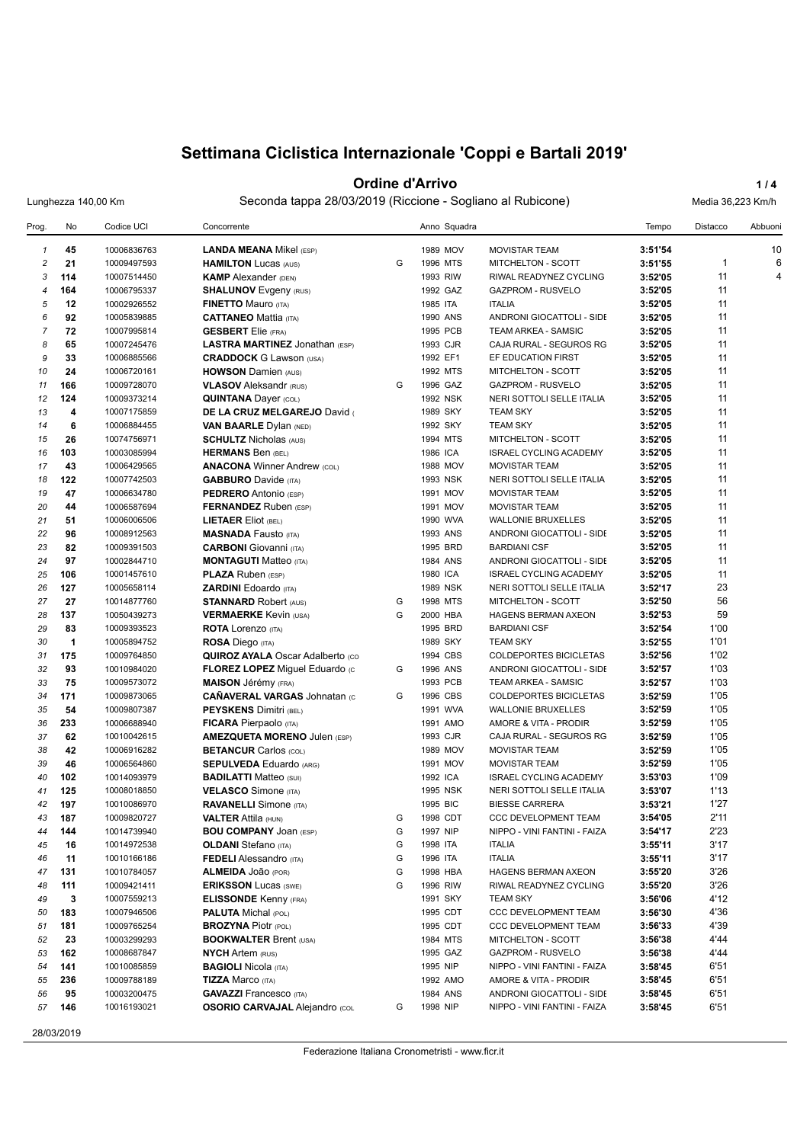#### **Ordine d'Arrivo 1/4**

Lunghezza 140,00 Km Seconda tappa 28/03/2019 (Riccione - Sogliano al Rubicone) Media 36,223 Km/h

| Prog.          | No  | Codice UCI  | Concorrente                             |   | Anno Squadra    |                               | Tempo   | Distacco     | Abbuoni |
|----------------|-----|-------------|-----------------------------------------|---|-----------------|-------------------------------|---------|--------------|---------|
| $\mathbf{1}$   | 45  | 10006836763 | <b>LANDA MEANA Mikel (ESP)</b>          |   | 1989 MOV        | <b>MOVISTAR TEAM</b>          | 3:51'54 |              | 10      |
| $\overline{c}$ | 21  | 10009497593 | <b>HAMILTON Lucas (AUS)</b>             | G | 1996 MTS        | <b>MITCHELTON - SCOTT</b>     | 3:51'55 | $\mathbf{1}$ | 6       |
| 3              | 114 | 10007514450 | <b>KAMP</b> Alexander (DEN)             |   | 1993 RIW        | RIWAL READYNEZ CYCLING        | 3:52'05 | 11           | 4       |
| $\overline{4}$ | 164 | 10006795337 | <b>SHALUNOV</b> Evgeny (RUS)            |   | 1992 GAZ        | <b>GAZPROM - RUSVELO</b>      | 3:52'05 | 11           |         |
| 5              | 12  | 10002926552 | <b>FINETTO Mauro (ITA)</b>              |   | 1985 ITA        | <b>ITALIA</b>                 | 3:52'05 | 11           |         |
| 6              | 92  | 10005839885 | <b>CATTANEO Mattia (ITA)</b>            |   | 1990 ANS        | ANDRONI GIOCATTOLI - SIDE     | 3:52'05 | 11           |         |
| $\overline{7}$ | 72  | 10007995814 | <b>GESBERT</b> Elie (FRA)               |   | 1995 PCB        | TEAM ARKEA - SAMSIC           | 3:52'05 | 11           |         |
| 8              | 65  | 10007245476 | <b>LASTRA MARTINEZ Jonathan (ESP)</b>   |   | 1993 CJR        | CAJA RURAL - SEGUROS RG       | 3:52'05 | 11           |         |
| 9              | 33  | 10006885566 | <b>CRADDOCK</b> G Lawson (USA)          |   | 1992 EF1        | EF EDUCATION FIRST            | 3:52'05 | 11           |         |
| 10             | 24  | 10006720161 | <b>HOWSON Damien (AUS)</b>              |   | 1992 MTS        | MITCHELTON - SCOTT            | 3:52'05 | 11           |         |
| 11             | 166 | 10009728070 | <b>VLASOV</b> Aleksandr (RUS)           | G | 1996 GAZ        | <b>GAZPROM - RUSVELO</b>      | 3:52'05 | 11           |         |
| 12             | 124 | 10009373214 | <b>QUINTANA Dayer (COL)</b>             |   | 1992 NSK        | NERI SOTTOLI SELLE ITALIA     | 3:52'05 | 11           |         |
| 13             | 4   | 10007175859 | DE LA CRUZ MELGAREJO David              |   | 1989 SKY        | <b>TEAM SKY</b>               | 3:52'05 | 11           |         |
| 14             | 6   | 10006884455 | <b>VAN BAARLE Dylan (NED)</b>           |   | 1992 SKY        | <b>TEAM SKY</b>               | 3:52'05 | 11           |         |
| 15             | 26  | 10074756971 | <b>SCHULTZ Nicholas (AUS)</b>           |   | 1994 MTS        | MITCHELTON - SCOTT            | 3:52'05 | 11           |         |
| 16             | 103 | 10003085994 | <b>HERMANS Ben (BEL)</b>                |   | 1986 ICA        | ISRAEL CYCLING ACADEMY        | 3:52'05 | 11           |         |
| 17             | 43  | 10006429565 | <b>ANACONA Winner Andrew (COL)</b>      |   | 1988 MOV        | <b>MOVISTAR TEAM</b>          | 3:52'05 | 11           |         |
| 18             | 122 | 10007742503 | <b>GABBURO</b> Davide (ITA)             |   | 1993 NSK        | NERI SOTTOLI SELLE ITALIA     | 3:52'05 | 11           |         |
| 19             | 47  | 10006634780 | <b>PEDRERO</b> Antonio (ESP)            |   | 1991 MOV        | <b>MOVISTAR TEAM</b>          | 3:52'05 | 11           |         |
| 20             | 44  | 10006587694 | <b>FERNANDEZ</b> Ruben (ESP)            |   | 1991 MOV        | <b>MOVISTAR TEAM</b>          | 3:52'05 | 11           |         |
| 21             | 51  | 10006006506 | <b>LIETAER Eliot (BEL)</b>              |   | 1990 WVA        | <b>WALLONIE BRUXELLES</b>     | 3:52'05 | 11           |         |
| 22             | 96  | 10008912563 | <b>MASNADA Fausto (ITA)</b>             |   | 1993 ANS        | ANDRONI GIOCATTOLI - SIDE     | 3:52'05 | 11           |         |
| 23             | 82  | 10009391503 | <b>CARBONI</b> Giovanni (ITA)           |   | 1995 BRD        | <b>BARDIANI CSF</b>           | 3:52'05 | 11           |         |
| 24             | 97  | 10002844710 | <b>MONTAGUTI Matteo (ITA)</b>           |   | 1984 ANS        | ANDRONI GIOCATTOLI - SIDE     | 3:52'05 | 11           |         |
| 25             | 106 | 10001457610 | <b>PLAZA Ruben (ESP)</b>                |   | 1980 ICA        | <b>ISRAEL CYCLING ACADEMY</b> | 3:52'05 | 11           |         |
| 26             | 127 | 10005658114 | <b>ZARDINI Edoardo</b> (ITA)            |   | 1989 NSK        | NERI SOTTOLI SELLE ITALIA     | 3:52'17 | 23           |         |
|                | 27  | 10014877760 |                                         | G | 1998 MTS        |                               |         | 56           |         |
| 27             |     |             | <b>STANNARD Robert (AUS)</b>            |   |                 | MITCHELTON - SCOTT            | 3:52'50 | 59           |         |
| 28             | 137 | 10050439273 | <b>VERMAERKE Kevin (USA)</b>            | G | 2000 HBA        | <b>HAGENS BERMAN AXEON</b>    | 3:52'53 |              |         |
| 29             | 83  | 10009393523 | <b>ROTA</b> Lorenzo (ITA)               |   | 1995 BRD        | <b>BARDIANI CSF</b>           | 3:52'54 | 1'00         |         |
| 30             | 1   | 10005894752 | <b>ROSA Diego (ITA)</b>                 |   | 1989 SKY        | <b>TEAM SKY</b>               | 3:52'55 | 1'01         |         |
| 31             | 175 | 10009764850 | <b>QUIROZ AYALA Oscar Adalberto (CO</b> |   | 1994 CBS        | <b>COLDEPORTES BICICLETAS</b> | 3:52'56 | 1'02         |         |
| 32             | 93  | 10010984020 | <b>FLOREZ LOPEZ Miguel Eduardo (c)</b>  | G | 1996 ANS        | ANDRONI GIOCATTOLI - SIDE     | 3:52'57 | 1'03         |         |
| 33             | 75  | 10009573072 | <b>MAISON</b> Jérémy (FRA)              |   | 1993 PCB        | <b>TEAM ARKEA - SAMSIC</b>    | 3:52'57 | 1'03         |         |
| 34             | 171 | 10009873065 | <b>CAÑAVERAL VARGAS Johnatan (C</b>     | G | 1996 CBS        | COLDEPORTES BICICLETAS        | 3:52'59 | 1'05         |         |
| 35             | 54  | 10009807387 | <b>PEYSKENS Dimitri (BEL)</b>           |   | 1991 WVA        | <b>WALLONIE BRUXELLES</b>     | 3:52'59 | 1'05         |         |
| 36             | 233 | 10006688940 | <b>FICARA</b> Pierpaolo (ITA)           |   | 1991 AMO        | AMORE & VITA - PRODIR         | 3:52'59 | 1'05         |         |
| 37             | 62  | 10010042615 | <b>AMEZQUETA MORENO Julen (ESP)</b>     |   | 1993 CJR        | CAJA RURAL - SEGUROS RG       | 3:52'59 | 1'05         |         |
| 38             | 42  | 10006916282 | <b>BETANCUR Carlos (COL)</b>            |   | 1989 MOV        | <b>MOVISTAR TEAM</b>          | 3:52'59 | 1'05         |         |
| 39             | 46  | 10006564860 | <b>SEPULVEDA Eduardo (ARG)</b>          |   | 1991 MOV        | <b>MOVISTAR TEAM</b>          | 3:52'59 | 1'05         |         |
| 40             | 102 | 10014093979 | <b>BADILATTI Matteo (SUI)</b>           |   | 1992 ICA        | <b>ISRAEL CYCLING ACADEMY</b> | 3:53'03 | 1'09         |         |
| 41             | 125 | 10008018850 | <b>VELASCO</b> Simone (ITA)             |   | <b>1995 NSK</b> | NERI SOTTOLI SELLE ITALIA     | 3:53'07 | 1'13         |         |
| 42             | 197 | 10010086970 | <b>RAVANELLI</b> Simone (ITA)           |   | 1995 BIC        | <b>BIESSE CARRERA</b>         | 3:53'21 | 1'27         |         |
| 43             | 187 | 10009820727 | <b>VALTER Attila (HUN)</b>              | G | 1998 CDT        | <b>CCC DEVELOPMENT TEAM</b>   | 3:54'05 | 2'11         |         |
| 44             | 144 | 10014739940 | <b>BOU COMPANY JOAN (ESP)</b>           | G | 1997 NIP        | NIPPO - VINI FANTINI - FAIZA  | 3:54'17 | 2'23         |         |
| 45             | 16  | 10014972538 | <b>OLDANI</b> Stefano (ITA)             | G | 1998 ITA        | <b>ITALIA</b>                 | 3:55'11 | 3'17         |         |
| 46             | 11  | 10010166186 | <b>FEDELI</b> Alessandro (ITA)          | G | 1996 ITA        | <b>ITALIA</b>                 | 3:55'11 | 3'17         |         |
| 47             | 131 | 10010784057 | ALMEIDA JOão (POR)                      | G | 1998 HBA        | HAGENS BERMAN AXEON           | 3:55'20 | 3'26         |         |
| 48             | 111 | 10009421411 | <b>ERIKSSON Lucas (SWE)</b>             | G | 1996 RIW        | RIWAL READYNEZ CYCLING        | 3:55'20 | 3'26         |         |
| 49             | 3   | 10007559213 | <b>ELISSONDE Kenny (FRA)</b>            |   | 1991 SKY        | <b>TEAM SKY</b>               | 3:56'06 | 4'12         |         |
| 50             | 183 | 10007946506 | <b>PALUTA Michal (POL)</b>              |   | 1995 CDT        | CCC DEVELOPMENT TEAM          | 3:56'30 | 4'36         |         |
| 51             | 181 | 10009765254 | <b>BROZYNA Piotr (POL)</b>              |   | 1995 CDT        | CCC DEVELOPMENT TEAM          | 3:56'33 | 4'39         |         |
| 52             | 23  | 10003299293 | <b>BOOKWALTER Brent (USA)</b>           |   | 1984 MTS        | MITCHELTON - SCOTT            | 3:56'38 | 4'44         |         |
| 53             | 162 | 10008687847 | <b>NYCH Artem (RUS)</b>                 |   | 1995 GAZ        | GAZPROM - RUSVELO             | 3:56'38 | 4'44         |         |
| 54             | 141 | 10010085859 | <b>BAGIOLI Nicola (ITA)</b>             |   | 1995 NIP        | NIPPO - VINI FANTINI - FAIZA  | 3:58'45 | 6'51         |         |
| 55             | 236 | 10009788189 | <b>TIZZA Marco (ITA)</b>                |   | 1992 AMO        | AMORE & VITA - PRODIR         | 3:58'45 | 6'51         |         |
| 56             | 95  | 10003200475 | <b>GAVAZZI</b> Francesco (ITA)          |   | 1984 ANS        | ANDRONI GIOCATTOLI - SIDE     | 3:58'45 | 6'51         |         |
| 57             | 146 | 10016193021 | <b>OSORIO CARVAJAL Alejandro (COL</b>   | G | 1998 NIP        | NIPPO - VINI FANTINI - FAIZA  | 3:58'45 | 6'51         |         |
|                |     |             |                                         |   |                 |                               |         |              |         |

28/03/2019

Federazione Italiana Cronometristi - www.ficr.it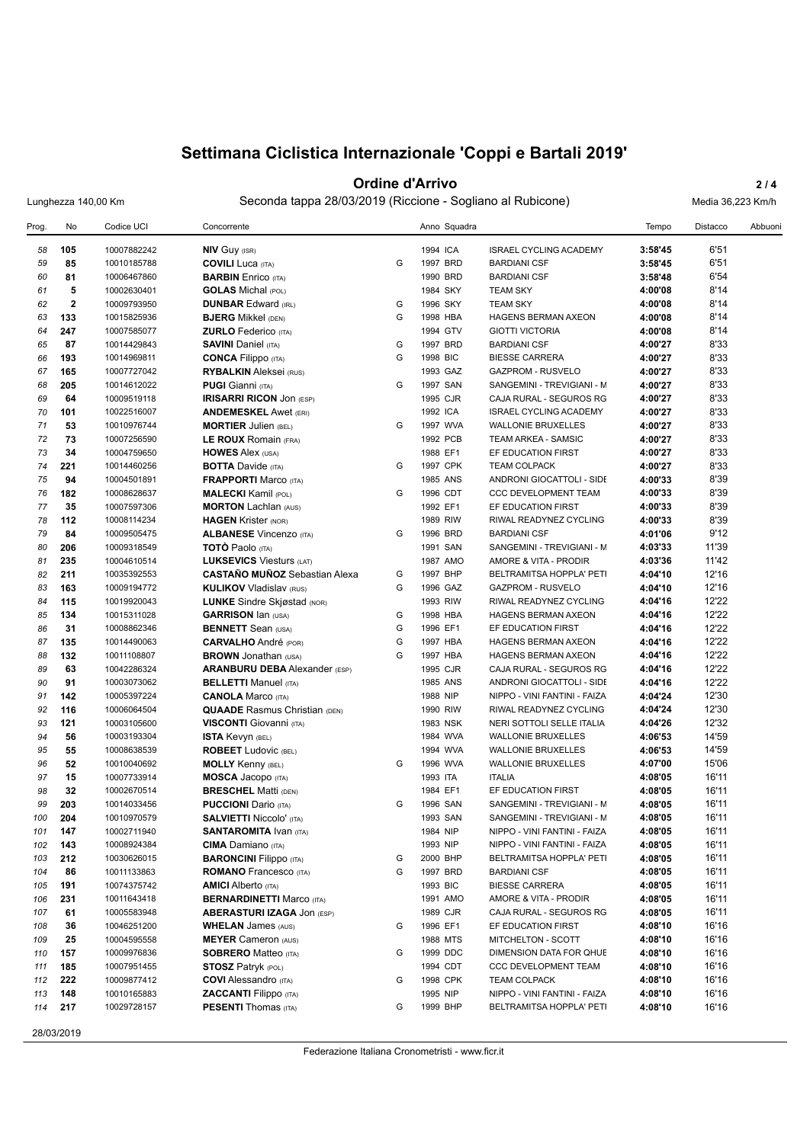#### **Ordine d'Arrivo** 2/4

Lunghezza 140,00 Km Seconda tappa 28/03/2019 (Riccione - Sogliano al Rubicone) Media 36,223 Km/h

| Prog. | No          | Codice UCI  | Concorrente                          |   |          | Anno Squadra |                               | Tempo   | <b>Distacco</b> | Abbuoni |
|-------|-------------|-------------|--------------------------------------|---|----------|--------------|-------------------------------|---------|-----------------|---------|
| 58    | 105         | 10007882242 | <b>NIV GUY (ISR)</b>                 |   | 1994 ICA |              | <b>ISRAEL CYCLING ACADEMY</b> | 3:58'45 | 6'51            |         |
| 59    | 85          | 10010185788 | <b>COVILI Luca (ITA)</b>             | G | 1997 BRD |              | <b>BARDIANI CSF</b>           | 3:58'45 | 6'51            |         |
| 60    | 81          | 10006467860 | <b>BARBIN</b> Enrico (ITA)           |   | 1990 BRD |              | <b>BARDIANI CSF</b>           | 3:58'48 | 6'54            |         |
| 61    | 5           | 10002630401 | <b>GOLAS</b> Michal (POL)            |   | 1984 SKY |              | <b>TEAM SKY</b>               | 4:00'08 | 8'14            |         |
| 62    | $\mathbf 2$ | 10009793950 | <b>DUNBAR Edward (IRL)</b>           | G | 1996 SKY |              | <b>TEAM SKY</b>               | 4:00'08 | 8'14            |         |
| 63    | 133         | 10015825936 | <b>BJERG</b> Mikkel (DEN)            | G | 1998 HBA |              | <b>HAGENS BERMAN AXEON</b>    | 4:00'08 | 8'14            |         |
| 64    | 247         | 10007585077 | <b>ZURLO</b> Federico (ITA)          |   | 1994 GTV |              | <b>GIOTTI VICTORIA</b>        | 4:00'08 | 8'14            |         |
| 65    | 87          | 10014429843 | <b>SAVINI Daniel (ITA)</b>           | G | 1997 BRD |              | <b>BARDIANI CSF</b>           | 4:00'27 | 8'33            |         |
| 66    | 193         | 10014969811 | <b>CONCA Filippo</b> (ITA)           | G | 1998 BIC |              | <b>BIESSE CARRERA</b>         | 4:00'27 | 8'33            |         |
| 67    | 165         | 10007727042 | <b>RYBALKIN</b> Aleksei (RUS)        |   | 1993 GAZ |              | <b>GAZPROM - RUSVELO</b>      | 4:00'27 | 8'33            |         |
| 68    | 205         | 10014612022 | <b>PUGI Gianni</b> (ITA)             | G | 1997 SAN |              | SANGEMINI - TREVIGIANI - M    | 4:00'27 | 8'33            |         |
| 69    | 64          | 10009519118 | <b>IRISARRI RICON JON (ESP)</b>      |   | 1995 CJR |              | CAJA RURAL - SEGUROS RG       | 4:00'27 | 8'33            |         |
| 70    | 101         | 10022516007 | <b>ANDEMESKEL Awet (ERI)</b>         |   | 1992 ICA |              | <b>ISRAEL CYCLING ACADEMY</b> | 4:00'27 | 8'33            |         |
| 71    | 53          | 10010976744 | <b>MORTIER Julien (BEL)</b>          | G | 1997 WVA |              | <b>WALLONIE BRUXELLES</b>     | 4:00'27 | 8'33            |         |
| 72    | 73          | 10007256590 | LE ROUX Romain (FRA)                 |   | 1992 PCB |              | TEAM ARKEA - SAMSIC           | 4:00'27 | 8'33            |         |
| 73    | 34          | 10004759650 | <b>HOWES Alex (USA)</b>              |   | 1988 EF1 |              | EF EDUCATION FIRST            | 4:00'27 | 8'33            |         |
| 74    | 221         | 10014460256 | <b>BOTTA Davide (ITA)</b>            | G | 1997 CPK |              | <b>TEAM COLPACK</b>           | 4:00'27 | 8'33            |         |
| 75    | 94          | 10004501891 |                                      |   | 1985 ANS |              |                               | 4:00'33 | 8'39            |         |
|       |             |             | <b>FRAPPORTI Marco (ITA)</b>         | G |          |              | ANDRONI GIOCATTOLI - SIDE     |         | 8'39            |         |
| 76    | 182         | 10008628637 | <b>MALECKI</b> Kamil (POL)           |   | 1996 CDT |              | <b>CCC DEVELOPMENT TEAM</b>   | 4:00'33 |                 |         |
| 77    | 35          | 10007597306 | <b>MORTON Lachlan (AUS)</b>          |   | 1992 EF1 |              | EF EDUCATION FIRST            | 4:00'33 | 8'39            |         |
| 78    | 112         | 10008114234 | <b>HAGEN Krister (NOR)</b>           |   | 1989 RIW |              | RIWAL READYNEZ CYCLING        | 4:00'33 | 8'39            |         |
| 79    | 84          | 10009505475 | <b>ALBANESE Vincenzo (ITA)</b>       | G | 1996 BRD |              | <b>BARDIANI CSF</b>           | 4:01'06 | 9'12            |         |
| 80    | 206         | 10009318549 | <b>TOTO Paolo</b> (ITA)              |   | 1991 SAN |              | SANGEMINI - TREVIGIANI - M    | 4:03'33 | 11'39           |         |
| 81    | 235         | 10004610514 | <b>LUKSEVICS Viesturs (LAT)</b>      |   | 1987 AMO |              | AMORE & VITA - PRODIR         | 4:03'36 | 11'42           |         |
| 82    | 211         | 10035392553 | <b>CASTAÑO MUÑOZ</b> Sebastian Alexa | G | 1997 BHP |              | BELTRAMITSA HOPPLA' PETI      | 4:04'10 | 12'16           |         |
| 83    | 163         | 10009194772 | <b>KULIKOV Vladislav (RUS)</b>       | G | 1996 GAZ |              | <b>GAZPROM - RUSVELO</b>      | 4:04'10 | 12'16           |         |
| 84    | 115         | 10019920043 | <b>LUNKE</b> Sindre Skjøstad (NOR)   |   | 1993 RIW |              | RIWAL READYNEZ CYCLING        | 4:04'16 | 12'22           |         |
| 85    | 134         | 10015311028 | <b>GARRISON Ian (USA)</b>            | G | 1998 HBA |              | <b>HAGENS BERMAN AXEON</b>    | 4:04'16 | 12'22           |         |
| 86    | 31          | 10008862346 | <b>BENNETT</b> Sean (USA)            | G | 1996 EF1 |              | EF EDUCATION FIRST            | 4:04'16 | 12'22           |         |
| 87    | 135         | 10014490063 | <b>CARVALHO</b> André (POR)          | G | 1997 HBA |              | HAGENS BERMAN AXEON           | 4:04'16 | 12'22           |         |
| 88    | 132         | 10011108807 | <b>BROWN</b> Jonathan (USA)          | G | 1997 HBA |              | <b>HAGENS BERMAN AXEON</b>    | 4:04'16 | 12'22           |         |
| 89    | 63          | 10042286324 | <b>ARANBURU DEBA</b> Alexander (ESP) |   | 1995 CJR |              | CAJA RURAL - SEGUROS RG       | 4:04'16 | 12'22           |         |
| 90    | 91          | 10003073062 | <b>BELLETTI Manuel (ITA)</b>         |   | 1985 ANS |              | ANDRONI GIOCATTOLI - SIDE     | 4:04'16 | 12'22           |         |
| 91    | 142         | 10005397224 | <b>CANOLA Marco (ITA)</b>            |   | 1988 NIP |              | NIPPO - VINI FANTINI - FAIZA  | 4:04'24 | 12'30           |         |
| 92    | 116         | 10006064504 | <b>QUAADE</b> Rasmus Christian (DEN) |   | 1990 RIW |              | RIWAL READYNEZ CYCLING        | 4:04'24 | 12'30           |         |
| 93    | 121         | 10003105600 | <b>VISCONTI</b> Giovanni (ITA)       |   | 1983 NSK |              | NERI SOTTOLI SELLE ITALIA     | 4:04'26 | 12'32           |         |
| 94    | 56          | 10003193304 | ISTA Kevyn (BEL)                     |   | 1984 WVA |              | <b>WALLONIE BRUXELLES</b>     | 4:06'53 | 14'59           |         |
| 95    | 55          | 10008638539 | <b>ROBEET</b> Ludovic (BEL)          |   | 1994 WVA |              | <b>WALLONIE BRUXELLES</b>     | 4:06'53 | 14'59           |         |
| 96    | 52          | 10010040692 | <b>MOLLY Kenny (BEL)</b>             | G | 1996 WVA |              | <b>WALLONIE BRUXELLES</b>     | 4:07'00 | 15'06           |         |
| 97    | 15          | 10007733914 | <b>MOSCA Jacopo</b> (ITA)            |   | 1993 ITA |              | <b>ITALIA</b>                 | 4:08'05 | 16'11           |         |
| 98    | 32          | 10002670514 | <b>BRESCHEL Matti (DEN)</b>          |   | 1984 EF1 |              | EF EDUCATION FIRST            | 4:08'05 | 16'11           |         |
| 99    | 203         | 10014033456 | <b>PUCCIONI</b> Dario (ITA)          | G | 1996 SAN |              | SANGEMINI - TREVIGIANI - M    | 4:08'05 | 16'11           |         |
| 100   | 204         | 10010970579 | <b>SALVIETTI Niccolo' (ITA)</b>      |   | 1993 SAN |              | SANGEMINI - TREVIGIANI - M    | 4:08'05 | 16'11           |         |
| 101   | 147         | 10002711940 | <b>SANTAROMITA IVAN (ITA)</b>        |   | 1984 NIP |              | NIPPO - VINI FANTINI - FAIZA  | 4:08'05 | 16'11           |         |
| 102   | 143         | 10008924384 | <b>CIMA</b> Damiano (ITA)            |   | 1993 NIP |              | NIPPO - VINI FANTINI - FAIZA  | 4:08'05 | 16'11           |         |
| 103   | 212         | 10030626015 | <b>BARONCINI Filippo</b> (ITA)       | G | 2000 BHP |              | BELTRAMITSA HOPPLA' PETI      | 4:08'05 | 16'11           |         |
| 104   | 86          | 10011133863 | <b>ROMANO</b> Francesco (ITA)        | G | 1997 BRD |              | <b>BARDIANI CSF</b>           | 4:08'05 | 16'11           |         |
| 105   | 191         | 10074375742 | <b>AMICI</b> Alberto (ITA)           |   | 1993 BIC |              | <b>BIESSE CARRERA</b>         | 4:08'05 | 16'11           |         |
| 106   | 231         | 10011643418 | <b>BERNARDINETTI Marco (ITA)</b>     |   | 1991 AMO |              | AMORE & VITA - PRODIR         | 4:08'05 | 16'11           |         |
| 107   | 61          | 10005583948 | <b>ABERASTURI IZAGA JON (ESP)</b>    |   | 1989 CJR |              | CAJA RURAL - SEGUROS RG       | 4:08'05 | 16'11           |         |
| 108   | 36          | 10046251200 | <b>WHELAN</b> James (AUS)            | G | 1996 EF1 |              | EF EDUCATION FIRST            | 4:08'10 | 16'16           |         |
| 109   | 25          | 10004595558 | <b>MEYER Cameron (AUS)</b>           |   | 1988 MTS |              | MITCHELTON - SCOTT            | 4:08'10 | 16'16           |         |
| 110   | 157         | 10009976836 | <b>SOBRERO Matteo (ITA)</b>          | G | 1999 DDC |              | DIMENSION DATA FOR QHUE       | 4:08'10 | 16'16           |         |
| 111   | 185         | 10007951455 | <b>STOSZ Patryk (POL)</b>            |   | 1994 CDT |              | CCC DEVELOPMENT TEAM          | 4:08'10 | 16'16           |         |
| 112   | 222         | 10009877412 | <b>COVI</b> Alessandro (ITA)         | G | 1998 CPK |              | <b>TEAM COLPACK</b>           | 4:08'10 | 16'16           |         |
| 113   | 148         | 10010165883 | <b>ZACCANTI Filippo</b> (ITA)        |   | 1995 NIP |              | NIPPO - VINI FANTINI - FAIZA  | 4:08'10 | 16'16           |         |
| 114   | 217         | 10029728157 | <b>PESENTI</b> Thomas (ITA)          | G | 1999 BHP |              | BELTRAMITSA HOPPLA' PETI      | 4:08'10 | 16'16           |         |

28/03/2019

Federazione Italiana Cronometristi - www.ficr.it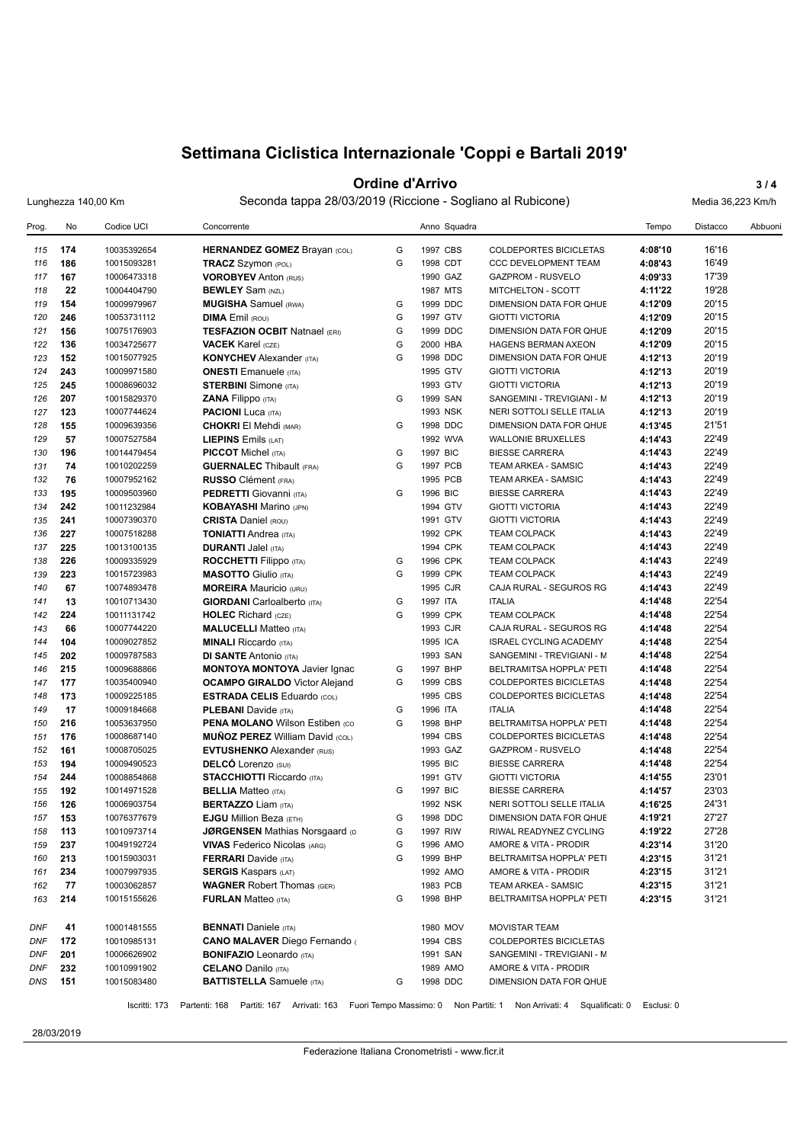#### **Ordine d'Arrivo** 3/4

Lunghezza 140,00 Km Seconda tappa 28/03/2019 (Riccione - Sogliano al Rubicone) Media 36,223 Km/h

| Prog.      | No         | Codice UCI                 | Concorrente                                                                  |   | Anno Squadra         |                                                      | Tempo              | Distacco       | Abbuoni |
|------------|------------|----------------------------|------------------------------------------------------------------------------|---|----------------------|------------------------------------------------------|--------------------|----------------|---------|
| 115        | 174        | 10035392654                | <b>HERNANDEZ GOMEZ Brayan (COL)</b>                                          | G | 1997 CBS             | <b>COLDEPORTES BICICLETAS</b>                        | 4:08'10            | 16'16          |         |
| 116        | 186        | 10015093281                | <b>TRACZ</b> Szymon (POL)                                                    | G | 1998 CDT             | <b>CCC DEVELOPMENT TEAM</b>                          | 4:08'43            | 16'49          |         |
| 117        | 167        | 10006473318                | <b>VOROBYEV Anton (RUS)</b>                                                  |   | 1990 GAZ             | <b>GAZPROM - RUSVELO</b>                             | 4:09'33            | 17'39          |         |
| 118        | 22         | 10004404790                | <b>BEWLEY</b> Sam (NZL)                                                      |   | 1987 MTS             | MITCHELTON - SCOTT                                   | 4:11'22            | 19'28          |         |
| 119        | 154        | 10009979967                | <b>MUGISHA</b> Samuel (RWA)                                                  | G | 1999 DDC             | DIMENSION DATA FOR QHUE                              | 4:12'09            | 20'15          |         |
| 120        | 246        | 10053731112                | <b>DIMA</b> Emil (ROU)                                                       | G | 1997 GTV             | <b>GIOTTI VICTORIA</b>                               | 4:12'09            | 20'15          |         |
| 121        | 156        | 10075176903                | <b>TESFAZION OCBIT Natnael (ERI)</b>                                         | G | 1999 DDC             | DIMENSION DATA FOR QHUE                              | 4:12'09            | 20'15          |         |
| 122        | 136        | 10034725677                | <b>VACEK</b> Karel (CZE)                                                     | G | 2000 HBA             | HAGENS BERMAN AXEON                                  | 4:12'09            | 20'15          |         |
| 123        | 152        | 10015077925                | <b>KONYCHEV</b> Alexander (ITA)                                              | G | 1998 DDC             | DIMENSION DATA FOR QHUE                              | 4:12'13            | 20'19          |         |
| 124        | 243        | 10009971580                | <b>ONESTI</b> Emanuele (ITA)                                                 |   | 1995 GTV             | <b>GIOTTI VICTORIA</b>                               | 4:12'13            | 20'19          |         |
| 125        | 245        | 10008696032                | <b>STERBINI</b> Simone (ITA)                                                 |   | 1993 GTV             | <b>GIOTTI VICTORIA</b>                               | 4:12'13            | 20'19          |         |
| 126        | 207        | 10015829370                | <b>ZANA Filippo</b> (ITA)                                                    | G | 1999 SAN             | SANGEMINI - TREVIGIANI - M                           | 4:12'13            | 20'19          |         |
| 127        | 123        | 10007744624                | <b>PACIONI</b> Luca (ITA)                                                    |   | 1993 NSK             | NERI SOTTOLI SELLE ITALIA                            | 4:12'13            | 20'19          |         |
| 128        | 155        | 10009639356                | <b>CHOKRI El Mehdi (MAR)</b>                                                 | G | 1998 DDC             | DIMENSION DATA FOR QHUE                              | 4:13'45            | 21'51          |         |
| 129        | 57         | 10007527584                | LIEPINS Emils (LAT)                                                          |   | 1992 WVA             | <b>WALLONIE BRUXELLES</b>                            | 4:14'43            | 22'49          |         |
| 130        | 196        | 10014479454                | <b>PICCOT</b> Michel (ITA)                                                   | G | 1997 BIC             | <b>BIESSE CARRERA</b>                                | 4:14'43            | 22'49          |         |
| 131        | 74         | 10010202259                | <b>GUERNALEC</b> Thibault (FRA)                                              | G | 1997 PCB             | TEAM ARKEA - SAMSIC                                  | 4:14'43            | 22'49          |         |
| 132        | 76         | 10007952162                | <b>RUSSO</b> Clément (FRA)                                                   |   | 1995 PCB             | <b>TEAM ARKEA - SAMSIC</b>                           | 4:14'43            | 22'49          |         |
| 133        | 195        | 10009503960                | <b>PEDRETTI</b> Giovanni (ITA)                                               | G | 1996 BIC             | <b>BIESSE CARRERA</b>                                | 4:14'43            | 22'49          |         |
| 134        | 242        | 10011232984                | <b>KOBAYASHI Marino (JPN)</b>                                                |   | 1994 GTV             | <b>GIOTTI VICTORIA</b>                               | 4:14'43            | 22'49          |         |
| 135        | 241        | 10007390370                | <b>CRISTA Daniel (ROU)</b>                                                   |   | 1991 GTV             | <b>GIOTTI VICTORIA</b>                               | 4:14'43            | 22'49          |         |
| 136        | 227        | 10007518288                | <b>TONIATTI Andrea (ITA)</b>                                                 |   | 1992 CPK             | <b>TEAM COLPACK</b>                                  | 4:14'43            | 22'49          |         |
| 137        | 225        | 10013100135                | <b>DURANTI Jalel (ITA)</b>                                                   |   | 1994 CPK             | <b>TEAM COLPACK</b>                                  | 4:14'43            | 22'49          |         |
| 138        | 226        | 10009335929                | <b>ROCCHETTI Filippo</b> (ITA)                                               | G | 1996 CPK             | <b>TEAM COLPACK</b>                                  | 4:14'43            | 22'49          |         |
| 139        | 223        | 10015723983                | <b>MASOTTO</b> Giulio (ITA)                                                  | G | 1999 CPK             | <b>TEAM COLPACK</b>                                  | 4:14'43            | 22'49          |         |
| 140        | 67         | 10074893478                | <b>MOREIRA</b> Mauricio (URU)                                                |   | 1995 CJR             | CAJA RURAL - SEGUROS RG                              | 4:14'43            | 22'49          |         |
| 141        | 13         | 10010713430                | <b>GIORDANI</b> Carloalberto (ITA)                                           | G | 1997 ITA             | <b>ITALIA</b>                                        | 4:14'48            | 22'54          |         |
| 142        | 224        | 10011131742                | <b>HOLEC</b> Richard (CZE)                                                   | G | 1999 CPK             | <b>TEAM COLPACK</b>                                  | 4:14'48            | 22'54          |         |
| 143        | 66         | 10007744220                | <b>MALUCELLI Matteo (ITA)</b>                                                |   | 1993 CJR             | CAJA RURAL - SEGUROS RG                              | 4:14'48            | 22'54          |         |
| 144        | 104        | 10009027852                | <b>MINALI Riccardo</b> (ITA)                                                 |   | 1995 ICA             | <b>ISRAEL CYCLING ACADEMY</b>                        | 4:14'48            | 22'54          |         |
| 145        | 202        | 10009787583                | <b>DI SANTE Antonio (ITA)</b>                                                |   | 1993 SAN             | SANGEMINI - TREVIGIANI - M                           | 4:14'48            | 22'54          |         |
| 146        | 215        | 10009688866                | <b>MONTOYA MONTOYA Javier Ignac</b>                                          | G | 1997 BHP             | BELTRAMITSA HOPPLA' PETI                             | 4:14'48            | 22'54          |         |
| 147        | 177        | 10035400940                | <b>OCAMPO GIRALDO</b> Victor Alejand                                         | G | 1999 CBS             | COLDEPORTES BICICLETAS                               | 4:14'48            | 22'54          |         |
| 148        | 173        | 10009225185                | <b>ESTRADA CELIS Eduardo (COL)</b>                                           |   | 1995 CBS             | <b>COLDEPORTES BICICLETAS</b>                        | 4:14'48            | 22'54          |         |
| 149        | 17         | 10009184668                | <b>PLEBANI</b> Davide (ITA)                                                  | G | 1996 ITA             | <b>ITALIA</b>                                        | 4:14'48            | 22'54          |         |
| 150        | 216        | 10053637950                | <b>PENA MOLANO Wilson Estiben (CO)</b>                                       | G | 1998 BHP             | BELTRAMITSA HOPPLA' PETI                             | 4:14'48            | 22'54          |         |
| 151        | 176        | 10008687140                | <b>MUÑOZ PEREZ William David (COL)</b>                                       |   | 1994 CBS             | <b>COLDEPORTES BICICLETAS</b>                        | 4:14'48            | 22'54          |         |
| 152        | 161        | 10008705025                | <b>EVTUSHENKO</b> Alexander (RUS)                                            |   | 1993 GAZ             | <b>GAZPROM - RUSVELO</b>                             | 4:14'48            | 22'54          |         |
| 153        | 194        | 10009490523                | <b>DELCO</b> Lorenzo (SUI)                                                   |   | 1995 BIC             | <b>BIESSE CARRERA</b><br><b>GIOTTI VICTORIA</b>      | 4:14'48            | 22'54          |         |
| 154        | 244        | 10008854868                | <b>STACCHIOTTI Riccardo (ITA)</b>                                            |   | 1991 GTV<br>1997 BIC | <b>BIESSE CARRERA</b>                                | 4:14'55            | 23'01<br>23'03 |         |
| 155        | 192<br>126 | 10014971528                | <b>BELLIA</b> Matteo (ITA)                                                   | G |                      |                                                      | 4:14'57<br>4:16'25 | 24'31          |         |
| 156<br>157 | 153        | 10006903754<br>10076377679 | <b>BERTAZZO Liam (ITA)</b><br><b>EJGU Million Beza (ETH)</b>                 | G | 1992 NSK<br>1998 DDC | NERI SOTTOLI SELLE ITALIA<br>DIMENSION DATA FOR QHUE | 4:19'21            | 27'27          |         |
| 158        | 113        |                            |                                                                              | G |                      | RIWAL READYNEZ CYCLING                               | 4:19'22            | 27'28          |         |
| 159        | 237        | 10010973714<br>10049192724 | <b>JØRGENSEN Mathias Norsgaard (D</b><br><b>VIVAS</b> Federico Nicolas (ARG) | G | 1997 RIW<br>1996 AMO | AMORE & VITA - PRODIR                                | 4:23'14            | 31'20          |         |
| 160        | 213        |                            | <b>FERRARI</b> Davide (ITA)                                                  | G | 1999 BHP             | BELTRAMITSA HOPPLA' PETI                             | 4:23'15            | 31'21          |         |
| 161        | 234        | 10015903031<br>10007997935 | <b>SERGIS Kaspars (LAT)</b>                                                  |   | 1992 AMO             | AMORE & VITA - PRODIR                                | 4:23'15            | 31'21          |         |
| 162        | 77         | 10003062857                | <b>WAGNER Robert Thomas (GER)</b>                                            |   | 1983 PCB             | TEAM ARKEA - SAMSIC                                  | 4:23'15            | 31'21          |         |
| 163        | 214        | 10015155626                | <b>FURLAN</b> Matteo (ITA)                                                   | G | 1998 BHP             | BELTRAMITSA HOPPLA' PETI                             | 4:23'15            | 31'21          |         |
|            |            |                            |                                                                              |   |                      |                                                      |                    |                |         |
| DNF        | 41         | 10001481555                | <b>BENNATI</b> Daniele (ITA)                                                 |   | 1980 MOV             | MOVISTAR TEAM                                        |                    |                |         |
| DNF        | 172        | 10010985131                | <b>CANO MALAVER Diego Fernando (</b>                                         |   | 1994 CBS             | COLDEPORTES BICICLETAS                               |                    |                |         |
| <b>DNF</b> | 201        | 10006626902                | <b>BONIFAZIO</b> Leonardo (ITA)                                              |   | 1991 SAN             | SANGEMINI - TREVIGIANI - M                           |                    |                |         |
| DNF        | 232        | 10010991902                | <b>CELANO</b> Danilo (ITA)                                                   |   | 1989 AMO             | AMORE & VITA - PRODIR                                |                    |                |         |
| DNS        | 151        | 10015083480                | <b>BATTISTELLA</b> Samuele (ITA)                                             | G | 1998 DDC             | DIMENSION DATA FOR QHUE                              |                    |                |         |
|            |            |                            |                                                                              |   |                      |                                                      |                    |                |         |

Iscritti: 173 Partenti: 168 Partiti: 167 Arrivati: 163 Fuori Tempo Massimo: 0 Non Partiti: 1 Non Arrivati: 4 Squalificati: 0 Esclusi: 0